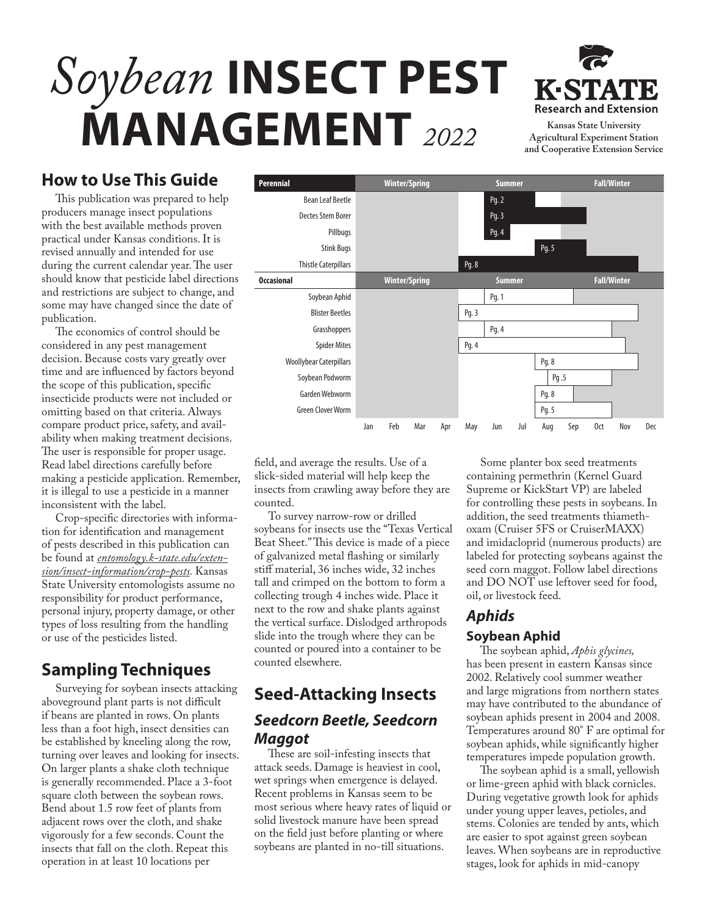# *Soybean* **INSECT PEST MANAGEMENT** *2022* **Kansas State University**



**Agricultural Experiment Station and Cooperative Extension Service**

## **How to Use This Guide**

This publication was prepared to help producers manage insect populations with the best available methods proven practical under Kansas conditions. It is revised annually and intended for use during the current calendar year. The user should know that pesticide label directions and restrictions are subject to change, and some may have changed since the date of publication.

The economics of control should be considered in any pest management decision. Because costs vary greatly over time and are influenced by factors beyond the scope of this publication, specific insecticide products were not included or omitting based on that criteria. Always compare product price, safety, and availability when making treatment decisions. The user is responsible for proper usage. Read label directions carefully before making a pesticide application. Remember, it is illegal to use a pesticide in a manner inconsistent with the label.

Crop-specific directories with information for identification and management of pests described in this publication can be found at *[entomology.k-state.edu/exten](http://entomology.k-state.edu/extension/insect-information/crop-pests)[sion/insect-information/crop-pests](http://entomology.k-state.edu/extension/insect-information/crop-pests).* Kansas State University entomologists assume no responsibility for product performance, personal injury, property damage, or other types of loss resulting from the handling or use of the pesticides listed.

# **Sampling Techniques**

Surveying for soybean insects attacking aboveground plant parts is not difficult if beans are planted in rows. On plants less than a foot high, insect densities can be established by kneeling along the row, turning over leaves and looking for insects. On larger plants a shake cloth technique is generally recommended. Place a 3-foot square cloth between the soybean rows. Bend about 1.5 row feet of plants from adjacent rows over the cloth, and shake vigorously for a few seconds. Count the insects that fall on the cloth. Repeat this operation in at least 10 locations per



field, and average the results. Use of a slick-sided material will help keep the insects from crawling away before they are counted.

To survey narrow-row or drilled soybeans for insects use the "Texas Vertical Beat Sheet." This device is made of a piece of galvanized metal flashing or similarly stiff material, 36 inches wide, 32 inches tall and crimped on the bottom to form a collecting trough 4 inches wide. Place it next to the row and shake plants against the vertical surface. Dislodged arthropods slide into the trough where they can be counted or poured into a container to be counted elsewhere.

# **Seed-Attacking Insects** *Seedcorn Beetle, Seedcorn Maggot*

These are soil-infesting insects that attack seeds. Damage is heaviest in cool, wet springs when emergence is delayed. Recent problems in Kansas seem to be most serious where heavy rates of liquid or solid livestock manure have been spread on the field just before planting or where soybeans are planted in no-till situations.

Some planter box seed treatments containing permethrin (Kernel Guard Supreme or KickStart VP) are labeled for controlling these pests in soybeans. In addition, the seed treatments thiamethoxam (Cruiser 5FS or CruiserMAXX) and imidacloprid (numerous products) are labeled for protecting soybeans against the seed corn maggot. Follow label directions and DO NOT use leftover seed for food, oil, or livestock feed.

# *Aphids*

#### **Soybean Aphid** The soybean aphid, *Aphis glycines,*

has been present in eastern Kansas since 2002. Relatively cool summer weather and large migrations from northern states may have contributed to the abundance of soybean aphids present in 2004 and 2008. Temperatures around 80° F are optimal for soybean aphids, while significantly higher temperatures impede population growth.

The soybean aphid is a small, yellowish or lime-green aphid with black cornicles. During vegetative growth look for aphids under young upper leaves, petioles, and stems. Colonies are tended by ants, which are easier to spot against green soybean leaves. When soybeans are in reproductive stages, look for aphids in mid-canopy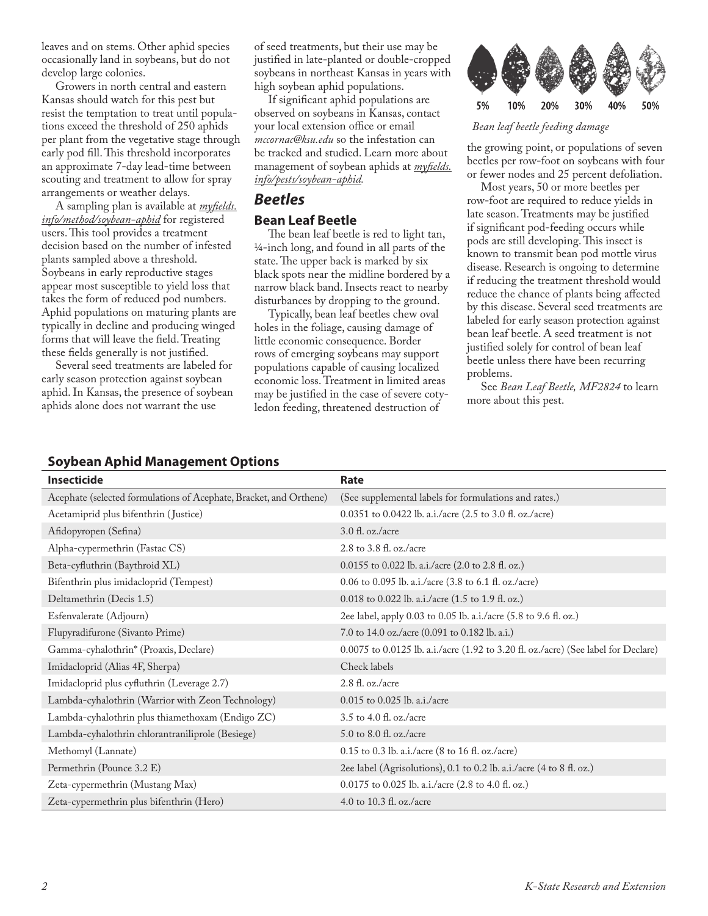leaves and on stems. Other aphid species occasionally land in soybeans, but do not develop large colonies.

Growers in north central and eastern Kansas should watch for this pest but resist the temptation to treat until populations exceed the threshold of 250 aphids per plant from the vegetative stage through early pod fill. This threshold incorporates an approximate 7-day lead-time between scouting and treatment to allow for spray arrangements or weather delays.

A sampling plan is available at *[myfields.](http://myfields.info/method/soybean-aphid) [info/method/soybean-aphid](http://myfields.info/method/soybean-aphid)* for registered users. This tool provides a treatment decision based on the number of infested plants sampled above a threshold. Soybeans in early reproductive stages appear most susceptible to yield loss that takes the form of reduced pod numbers. Aphid populations on maturing plants are typically in decline and producing winged forms that will leave the field. Treating these fields generally is not justified.

Several seed treatments are labeled for early season protection against soybean aphid. In Kansas, the presence of soybean aphids alone does not warrant the use

of seed treatments, but their use may be justified in late-planted or double-cropped soybeans in northeast Kansas in years with high soybean aphid populations.

If significant aphid populations are observed on soybeans in Kansas, contact your local extension office or email *mccornac@ksu.edu* so the infestation can be tracked and studied. Learn more about management of soybean aphids at *[myfields.](http://myfields.info/pests/soybean-aphid) [info/pests/soybean-aphid](http://myfields.info/pests/soybean-aphid).*

#### *Beetles*

#### **Bean Leaf Beetle**

The bean leaf beetle is red to light tan, 1/4-inch long, and found in all parts of the state. The upper back is marked by six black spots near the midline bordered by a narrow black band. Insects react to nearby disturbances by dropping to the ground.

Typically, bean leaf beetles chew oval holes in the foliage, causing damage of little economic consequence. Border rows of emerging soybeans may support populations capable of causing localized economic loss. Treatment in limited areas may be justified in the case of severe cotyledon feeding, threatened destruction of



#### *Bean leaf beetle feeding damage*

the growing point, or populations of seven beetles per row-foot on soybeans with four or fewer nodes and 25 percent defoliation.

Most years, 50 or more beetles per row-foot are required to reduce yields in late season. Treatments may be justified if significant pod-feeding occurs while pods are still developing. This insect is known to transmit bean pod mottle virus disease. Research is ongoing to determine if reducing the treatment threshold would reduce the chance of plants being affected by this disease. Several seed treatments are labeled for early season protection against bean leaf beetle. A seed treatment is not justified solely for control of bean leaf beetle unless there have been recurring problems.

See *Bean Leaf Beetle, [MF2824](http://www.ksre.ksu.edu/bookstore/pubs/MF2824.pdf)* to learn more about this pest.

#### **Soybean Aphid Management Options**

| <b>Insecticide</b>                                                 | Rate                                                                               |
|--------------------------------------------------------------------|------------------------------------------------------------------------------------|
| Acephate (selected formulations of Acephate, Bracket, and Orthene) | (See supplemental labels for formulations and rates.)                              |
| Acetamiprid plus bifenthrin (Justice)                              | 0.0351 to 0.0422 lb. a.i./acre (2.5 to 3.0 fl. oz./acre)                           |
| Afidopyropen (Sefina)                                              | 3.0 fl. oz./acre                                                                   |
| Alpha-cypermethrin (Fastac CS)                                     | 2.8 to 3.8 fl. oz./acre                                                            |
| Beta-cyfluthrin (Baythroid XL)                                     | $0.0155$ to 0.022 lb. a.i./acre $(2.0 \text{ to } 2.8 \text{ ft. oz.})$            |
| Bifenthrin plus imidacloprid (Tempest)                             | 0.06 to 0.095 lb. a.i./acre (3.8 to 6.1 fl. oz./acre)                              |
| Deltamethrin (Decis 1.5)                                           | 0.018 to 0.022 lb. a.i./acre (1.5 to 1.9 fl. oz.)                                  |
| Esfenvalerate (Adjourn)                                            | 2ee label, apply 0.03 to 0.05 lb. a.i./acre (5.8 to 9.6 fl. oz.)                   |
| Flupyradifurone (Sivanto Prime)                                    | 7.0 to 14.0 oz./acre (0.091 to 0.182 lb. a.i.)                                     |
| Gamma-cyhalothrin* (Proaxis, Declare)                              | 0.0075 to 0.0125 lb. a.i./acre (1.92 to 3.20 fl. oz./acre) (See label for Declare) |
| Imidacloprid (Alias 4F, Sherpa)                                    | Check labels                                                                       |
| Imidacloprid plus cyfluthrin (Leverage 2.7)                        | 2.8 fl. oz./acre                                                                   |
| Lambda-cyhalothrin (Warrior with Zeon Technology)                  | $0.015$ to $0.025$ lb. a.i./acre                                                   |
| Lambda-cyhalothrin plus thiamethoxam (Endigo ZC)                   | 3.5 to 4.0 fl. oz./acre                                                            |
| Lambda-cyhalothrin chlorantraniliprole (Besiege)                   | 5.0 to 8.0 fl. oz./acre                                                            |
| Methomyl (Lannate)                                                 | 0.15 to 0.3 lb. a.i./acre (8 to 16 fl. oz./acre)                                   |
| Permethrin (Pounce 3.2 E)                                          | 2ee label (Agrisolutions), 0.1 to 0.2 lb. a.i./acre (4 to 8 fl. oz.)               |
| Zeta-cypermethrin (Mustang Max)                                    | 0.0175 to 0.025 lb. a.i./acre (2.8 to 4.0 fl. oz.)                                 |
| Zeta-cypermethrin plus bifenthrin (Hero)                           | 4.0 to 10.3 fl. oz./acre                                                           |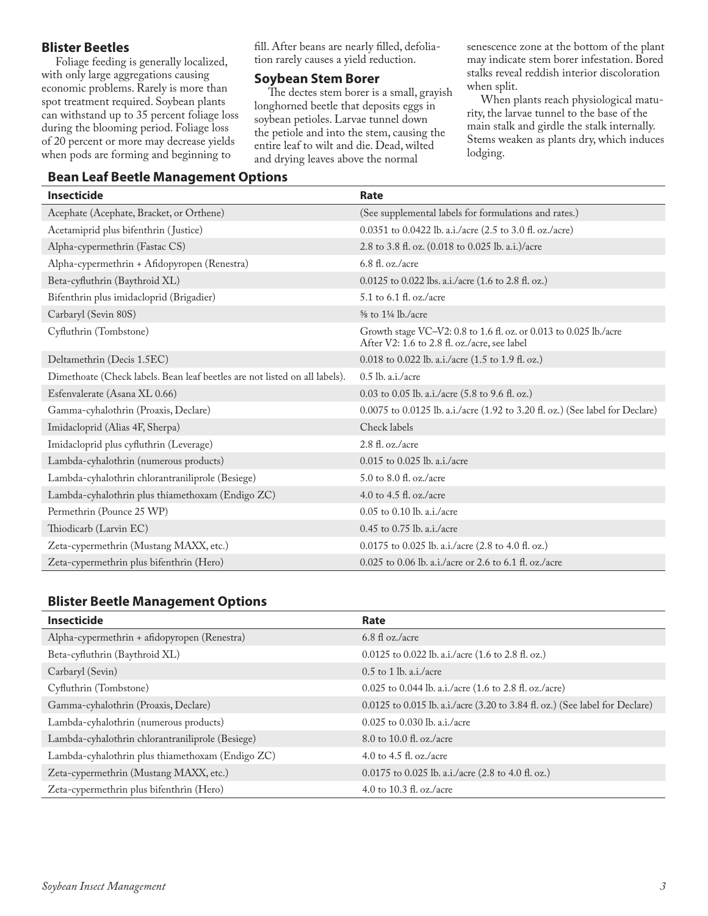#### **Blister Beetles**

Foliage feeding is generally localized, with only large aggregations causing economic problems. Rarely is more than spot treatment required. Soybean plants can withstand up to 35 percent foliage loss during the blooming period. Foliage loss of 20 percent or more may decrease yields when pods are forming and beginning to

fill. After beans are nearly filled, defoliation rarely causes a yield reduction.

#### **Soybean Stem Borer**

The dectes stem borer is a small, grayish longhorned beetle that deposits eggs in soybean petioles. Larvae tunnel down the petiole and into the stem, causing the entire leaf to wilt and die. Dead, wilted and drying leaves above the normal

senescence zone at the bottom of the plant may indicate stem borer infestation. Bored stalks reveal reddish interior discoloration when split.

When plants reach physiological maturity, the larvae tunnel to the base of the main stalk and girdle the stalk internally. Stems weaken as plants dry, which induces lodging.

#### **Bean Leaf Beetle Management Options**

| <b>Insecticide</b>                                                         | <b>Rate</b>                                                                                                       |
|----------------------------------------------------------------------------|-------------------------------------------------------------------------------------------------------------------|
| Acephate (Acephate, Bracket, or Orthene)                                   | (See supplemental labels for formulations and rates.)                                                             |
| Acetamiprid plus bifenthrin (Justice)                                      | 0.0351 to 0.0422 lb. a.i./acre (2.5 to 3.0 fl. oz./acre)                                                          |
| Alpha-cypermethrin (Fastac CS)                                             | 2.8 to 3.8 fl. oz. (0.018 to 0.025 lb. a.i.)/acre                                                                 |
| Alpha-cypermethrin + Afidopyropen (Renestra)                               | $6.8$ fl. oz./acre                                                                                                |
| Beta-cyfluthrin (Baythroid XL)                                             | $0.0125$ to 0.022 lbs. a.i./acre (1.6 to 2.8 fl. oz.)                                                             |
| Bifenthrin plus imidacloprid (Brigadier)                                   | 5.1 to 6.1 fl. oz./acre                                                                                           |
| Carbaryl (Sevin 80S)                                                       | $\frac{5}{8}$ to $1\frac{1}{4}$ lb./acre                                                                          |
| Cyfluthrin (Tombstone)                                                     | Growth stage VC-V2: 0.8 to 1.6 fl. oz. or 0.013 to 0.025 lb./acre<br>After V2: 1.6 to 2.8 fl. oz./acre, see label |
| Deltamethrin (Decis 1.5EC)                                                 | 0.018 to 0.022 lb. a.i./acre $(1.5 \text{ to } 1.9 \text{ ft. oz.})$                                              |
| Dimethoate (Check labels. Bean leaf beetles are not listed on all labels). | $0.5$ lb. a.i./acre                                                                                               |
| Esfenvalerate (Asana XL 0.66)                                              | 0.03 to 0.05 lb. a.i./acre (5.8 to 9.6 fl. oz.)                                                                   |
| Gamma-cyhalothrin (Proaxis, Declare)                                       | 0.0075 to 0.0125 lb. a.i./acre (1.92 to 3.20 fl. oz.) (See label for Declare)                                     |
| Imidacloprid (Alias 4F, Sherpa)                                            | Check labels                                                                                                      |
| Imidacloprid plus cyfluthrin (Leverage)                                    | $2.8$ fl. oz./acre                                                                                                |
| Lambda-cyhalothrin (numerous products)                                     | $0.015$ to $0.025$ lb. a.i./acre                                                                                  |
| Lambda-cyhalothrin chlorantraniliprole (Besiege)                           | $5.0$ to $8.0$ fl. oz./acre                                                                                       |
| Lambda-cyhalothrin plus thiamethoxam (Endigo ZC)                           | 4.0 to 4.5 fl. oz./acre                                                                                           |
| Permethrin (Pounce 25 WP)                                                  | $0.05$ to $0.10$ lb. a.i./acre                                                                                    |
| Thiodicarb (Larvin EC)                                                     | 0.45 to 0.75 lb. a.i./acre                                                                                        |
| Zeta-cypermethrin (Mustang MAXX, etc.)                                     | 0.0175 to 0.025 lb. a.i./acre (2.8 to 4.0 fl. oz.)                                                                |
| Zeta-cypermethrin plus bifenthrin (Hero)                                   | 0.025 to 0.06 lb. a.i./acre or 2.6 to 6.1 fl. oz./acre                                                            |

#### **Blister Beetle Management Options**

| <b>Insecticide</b>                               | Rate                                                                           |
|--------------------------------------------------|--------------------------------------------------------------------------------|
| Alpha-cypermethrin + afidopyropen (Renestra)     | $6.8 \text{ fl oz./acre}$                                                      |
| Beta-cyfluthrin (Baythroid XL)                   | $0.0125$ to $0.022$ lb. a.i./acre $(1.6$ to $2.8$ fl. oz.)                     |
| Carbaryl (Sevin)                                 | $0.5$ to 1 lb. a.i./acre                                                       |
| Cyfluthrin (Tombstone)                           | $0.025$ to 0.044 lb. a.i./acre (1.6 to 2.8 fl. oz./acre)                       |
| Gamma-cyhalothrin (Proaxis, Declare)             | $0.0125$ to 0.015 lb. a.i./acre (3.20 to 3.84 fl. oz.) (See label for Declare) |
| Lambda-cyhalothrin (numerous products)           | $0.025$ to $0.030$ lb. a.i./acre                                               |
| Lambda-cyhalothrin chlorantraniliprole (Besiege) | 8.0 to 10.0 fl. oz./acre                                                       |
| Lambda-cyhalothrin plus thiamethoxam (Endigo ZC) | 4.0 to 4.5 fl. oz./acre                                                        |
| Zeta-cypermethrin (Mustang MAXX, etc.)           | $0.0175$ to 0.025 lb. a.i./acre (2.8 to 4.0 fl. oz.)                           |
| Zeta-cypermethrin plus bifenthrin (Hero)         | 4.0 to 10.3 fl. oz./acre                                                       |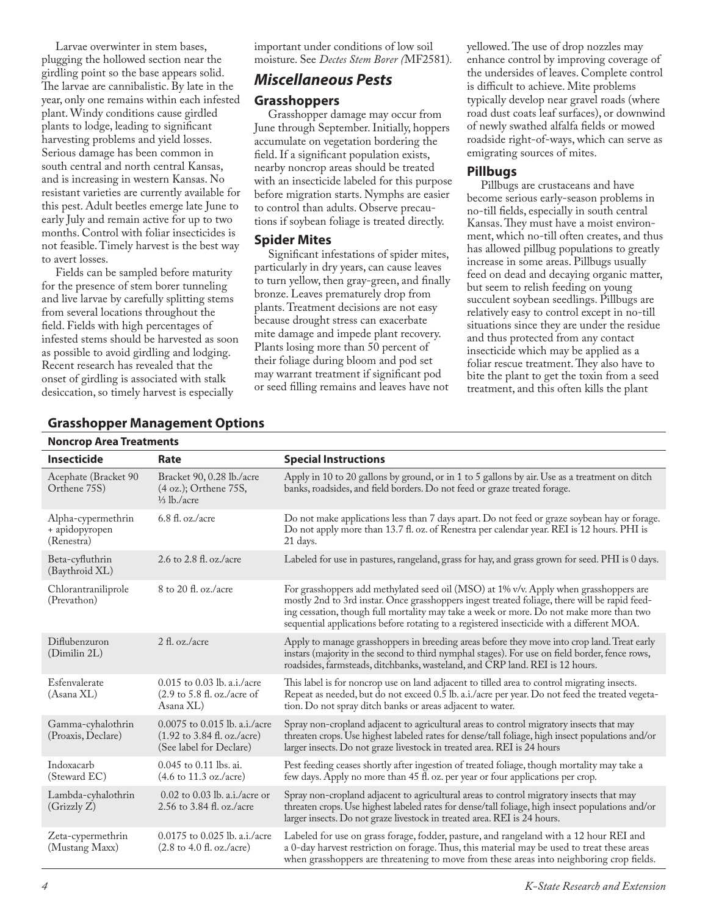Larvae overwinter in stem bases, plugging the hollowed section near the girdling point so the base appears solid. The larvae are cannibalistic. By late in the year, only one remains within each infested plant. Windy conditions cause girdled plants to lodge, leading to significant harvesting problems and yield losses. Serious damage has been common in south central and north central Kansas, and is increasing in western Kansas. No resistant varieties are currently available for this pest. Adult beetles emerge late June to early July and remain active for up to two months. Control with foliar insecticides is not feasible. Timely harvest is the best way to avert losses.

Fields can be sampled before maturity for the presence of stem borer tunneling and live larvae by carefully splitting stems from several locations throughout the field. Fields with high percentages of infested stems should be harvested as soon as possible to avoid girdling and lodging. Recent research has revealed that the onset of girdling is associated with stalk desiccation, so timely harvest is especially

important under conditions of low soil moisture. See *Dectes Stem Borer (*MF2581)*.*

#### *Miscellaneous Pests*

#### **Grasshoppers**

Grasshopper damage may occur from June through September. Initially, hoppers accumulate on vegetation bordering the field. If a significant population exists, nearby noncrop areas should be treated with an insecticide labeled for this purpose before migration starts. Nymphs are easier to control than adults. Observe precautions if soybean foliage is treated directly.

#### **Spider Mites**

Significant infestations of spider mites, particularly in dry years, can cause leaves to turn yellow, then gray-green, and finally bronze. Leaves prematurely drop from plants. Treatment decisions are not easy because drought stress can exacerbate mite damage and impede plant recovery. Plants losing more than 50 percent of their foliage during bloom and pod set may warrant treatment if significant pod or seed filling remains and leaves have not

yellowed. The use of drop nozzles may enhance control by improving coverage of the undersides of leaves. Complete control is difficult to achieve. Mite problems typically develop near gravel roads (where road dust coats leaf surfaces), or downwind of newly swathed alfalfa fields or mowed roadside right-of-ways, which can serve as emigrating sources of mites.

#### **Pillbugs**

Pillbugs are crustaceans and have become serious early-season problems in no-till fields, especially in south central Kansas. They must have a moist environment, which no-till often creates, and thus has allowed pillbug populations to greatly increase in some areas. Pillbugs usually feed on dead and decaying organic matter, but seem to relish feeding on young succulent soybean seedlings. Pillbugs are relatively easy to control except in no-till situations since they are under the residue and thus protected from any contact insecticide which may be applied as a foliar rescue treatment. They also have to bite the plant to get the toxin from a seed treatment, and this often kills the plant

| <b>Insecticide</b>                                 | Rate                                                                                                       | <b>Special Instructions</b>                                                                                                                                                                                                                                                                                                                                                    |
|----------------------------------------------------|------------------------------------------------------------------------------------------------------------|--------------------------------------------------------------------------------------------------------------------------------------------------------------------------------------------------------------------------------------------------------------------------------------------------------------------------------------------------------------------------------|
| Acephate (Bracket 90<br>Orthene 75S)               | Bracket 90, 0.28 lb./acre<br>$(4 \text{ oz.})$ ; Orthene 75S,<br>$\frac{1}{3}$ lb./acre                    | Apply in 10 to 20 gallons by ground, or in 1 to 5 gallons by air. Use as a treatment on ditch<br>banks, roadsides, and field borders. Do not feed or graze treated forage.                                                                                                                                                                                                     |
| Alpha-cypermethrin<br>+ apidopyropen<br>(Renestra) | $6.8$ fl. oz./acre                                                                                         | Do not make applications less than 7 days apart. Do not feed or graze soybean hay or forage.<br>Do not apply more than 13.7 fl. oz. of Renestra per calendar year. REI is 12 hours. PHI is<br>21 days.                                                                                                                                                                         |
| Beta-cyfluthrin<br>(Baythroid XL)                  | 2.6 to 2.8 fl. oz./acre                                                                                    | Labeled for use in pastures, rangeland, grass for hay, and grass grown for seed. PHI is 0 days.                                                                                                                                                                                                                                                                                |
| Chlorantraniliprole<br>(Prevathon)                 | 8 to 20 fl. oz./acre                                                                                       | For grasshoppers add methylated seed oil (MSO) at 1% v/v. Apply when grasshoppers are<br>mostly 2nd to 3rd instar. Once grasshoppers ingest treated foliage, there will be rapid feed-<br>ing cessation, though full mortality may take a week or more. Do not make more than two<br>sequential applications before rotating to a registered insecticide with a different MOA. |
| Diflubenzuron<br>(Dimilin 2L)                      | $2 \text{ fl. oz.}/\text{acre}$                                                                            | Apply to manage grasshoppers in breeding areas before they move into crop land. Treat early<br>instars (majority in the second to third nymphal stages). For use on field border, fence rows,<br>roadsides, farmsteads, ditchbanks, wasteland, and CRP land. REI is 12 hours.                                                                                                  |
| Esfenvalerate<br>(Asana XL)                        | $0.015$ to 0.03 lb. a.i./acre<br>$(2.9 \text{ to } 5.8 \text{ fl. oz./acre of})$<br>Asana XL)              | This label is for noncrop use on land adjacent to tilled area to control migrating insects.<br>Repeat as needed, but do not exceed 0.5 lb. a.i./acre per year. Do not feed the treated vegeta-<br>tion. Do not spray ditch banks or areas adjacent to water.                                                                                                                   |
| Gamma-cyhalothrin<br>(Proaxis, Declare)            | 0.0075 to 0.015 lb. a.i./acre<br>$(1.92 \text{ to } 3.84 \text{ fl. oz./acre})$<br>(See label for Declare) | Spray non-cropland adjacent to agricultural areas to control migratory insects that may<br>threaten crops. Use highest labeled rates for dense/tall foliage, high insect populations and/or<br>larger insects. Do not graze livestock in treated area. REI is 24 hours                                                                                                         |
| Indoxacarb<br>(Steward EC)                         | 0.045 to 0.11 lbs. ai.<br>$(4.6 \text{ to } 11.3 \text{ oz./acre})$                                        | Pest feeding ceases shortly after ingestion of treated foliage, though mortality may take a<br>few days. Apply no more than 45 fl. oz. per year or four applications per crop.                                                                                                                                                                                                 |
| Lambda-cyhalothrin<br>(Grizzly Z)                  | 0.02 to 0.03 lb. a.i./acre or<br>2.56 to 3.84 fl. oz./acre                                                 | Spray non-cropland adjacent to agricultural areas to control migratory insects that may<br>threaten crops. Use highest labeled rates for dense/tall foliage, high insect populations and/or<br>larger insects. Do not graze livestock in treated area. REI is 24 hours.                                                                                                        |
| Zeta-cypermethrin<br>(Mustang Maxx)                | 0.0175 to 0.025 lb. a.i./acre<br>$(2.8 \text{ to } 4.0 \text{ fl. oz./acre})$                              | Labeled for use on grass forage, fodder, pasture, and rangeland with a 12 hour REI and<br>a 0-day harvest restriction on forage. Thus, this material may be used to treat these areas<br>when grasshoppers are threatening to move from these areas into neighboring crop fields.                                                                                              |

#### **Grasshopper Management Options**

**Noncrop Area Treatments**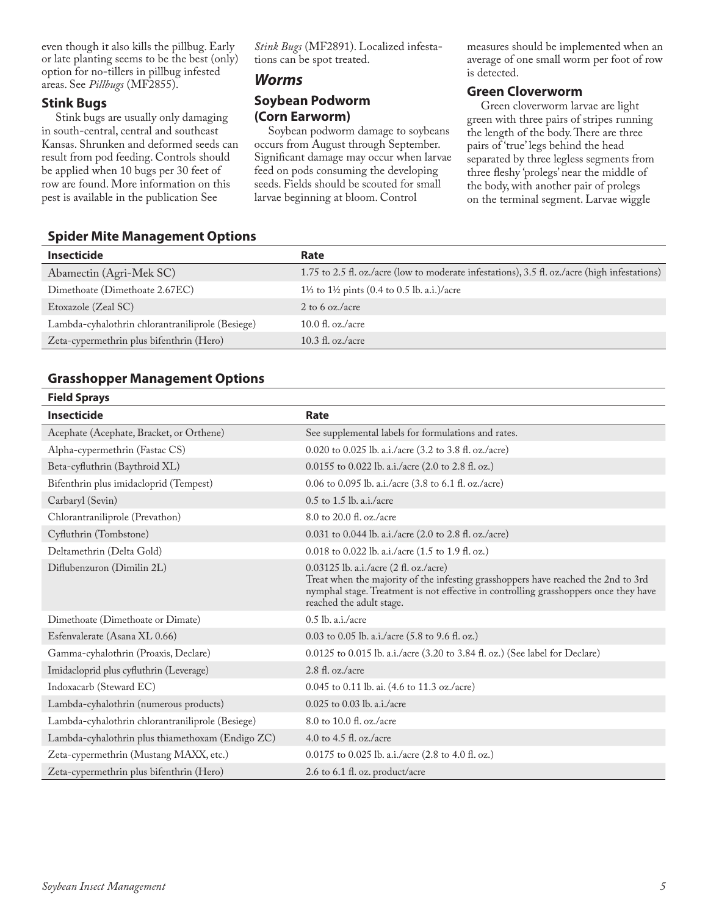even though it also kills the pillbug. Early or late planting seems to be the best (only) option for no-tillers in pillbug infested areas. See *Pillbugs* (MF2855).

#### **Stink Bugs**

Stink bugs are usually only damaging in south-central, central and southeast Kansas. Shrunken and deformed seeds can result from pod feeding. Controls should be applied when 10 bugs per 30 feet of row are found. More information on this pest is available in the publication See

*Stink Bugs* (MF2891). Localized infestations can be spot treated.

#### *Worms*

#### **Soybean Podworm (Corn Earworm)**

Soybean podworm damage to soybeans occurs from August through September. Significant damage may occur when larvae feed on pods consuming the developing seeds. Fields should be scouted for small larvae beginning at bloom. Control

measures should be implemented when an average of one small worm per foot of row is detected.

#### **Green Cloverworm**

Green cloverworm larvae are light green with three pairs of stripes running the length of the body. There are three pairs of 'true' legs behind the head separated by three legless segments from three fleshy 'prolegs' near the middle of the body, with another pair of prolegs on the terminal segment. Larvae wiggle

#### **Spider Mite Management Options**

| Insecticide                                      | Rate                                                                                          |
|--------------------------------------------------|-----------------------------------------------------------------------------------------------|
| Abamectin (Agri-Mek SC)                          | 1.75 to 2.5 fl. oz./acre (low to moderate infestations), 3.5 fl. oz./acre (high infestations) |
| Dimethoate (Dimethoate 2.67EC)                   | 11/ <sub>2</sub> to 11/ <sub>2</sub> pints (0.4 to 0.5 lb. a.i.)/acre                         |
| Etoxazole (Zeal SC)                              | 2 to 6 oz./acre                                                                               |
| Lambda-cyhalothrin chlorantraniliprole (Besiege) | $10.0 \text{ fl. oz.}/\text{acre}$                                                            |
| Zeta-cypermethrin plus bifenthrin (Hero)         | $10.3 \text{ fl. oz.}/\text{acre}$                                                            |
|                                                  |                                                                                               |

#### **Grasshopper Management Options**

| <b>Field Sprays</b>                              |                                                                                                                                                                                                                                                 |
|--------------------------------------------------|-------------------------------------------------------------------------------------------------------------------------------------------------------------------------------------------------------------------------------------------------|
| <b>Insecticide</b>                               | Rate                                                                                                                                                                                                                                            |
| Acephate (Acephate, Bracket, or Orthene)         | See supplemental labels for formulations and rates.                                                                                                                                                                                             |
| Alpha-cypermethrin (Fastac CS)                   | 0.020 to 0.025 lb. a.i./acre (3.2 to 3.8 fl. oz./acre)                                                                                                                                                                                          |
| Beta-cyfluthrin (Baythroid XL)                   | 0.0155 to 0.022 lb. a.i./acre (2.0 to 2.8 fl. oz.)                                                                                                                                                                                              |
| Bifenthrin plus imidacloprid (Tempest)           | 0.06 to 0.095 lb. a.i./acre (3.8 to 6.1 fl. oz./acre)                                                                                                                                                                                           |
| Carbaryl (Sevin)                                 | $0.5$ to 1.5 lb. a.i./acre                                                                                                                                                                                                                      |
| Chlorantraniliprole (Prevathon)                  | 8.0 to 20.0 fl. oz./acre                                                                                                                                                                                                                        |
| Cyfluthrin (Tombstone)                           | 0.031 to 0.044 lb. a.i./acre (2.0 to 2.8 fl. oz./acre)                                                                                                                                                                                          |
| Deltamethrin (Delta Gold)                        | 0.018 to 0.022 lb. a.i./acre (1.5 to 1.9 fl. oz.)                                                                                                                                                                                               |
| Diflubenzuron (Dimilin 2L)                       | 0.03125 lb. a.i./acre (2 fl. oz./acre)<br>Treat when the majority of the infesting grasshoppers have reached the 2nd to 3rd<br>nymphal stage. Treatment is not effective in controlling grasshoppers once they have<br>reached the adult stage. |
| Dimethoate (Dimethoate or Dimate)                | $0.5$ lb. a.i./acre                                                                                                                                                                                                                             |
| Esfenvalerate (Asana XL 0.66)                    | 0.03 to 0.05 lb. a.i./acre (5.8 to 9.6 fl. oz.)                                                                                                                                                                                                 |
| Gamma-cyhalothrin (Proaxis, Declare)             | 0.0125 to 0.015 lb. a.i./acre (3.20 to 3.84 fl. oz.) (See label for Declare)                                                                                                                                                                    |
| Imidacloprid plus cyfluthrin (Leverage)          | $2.8$ fl. oz./acre                                                                                                                                                                                                                              |
| Indoxacarb (Steward EC)                          | 0.045 to 0.11 lb. ai. (4.6 to 11.3 oz./acre)                                                                                                                                                                                                    |
| Lambda-cyhalothrin (numerous products)           | $0.025$ to $0.03$ lb. a.i./acre                                                                                                                                                                                                                 |
| Lambda-cyhalothrin chlorantraniliprole (Besiege) | 8.0 to 10.0 fl. oz./acre                                                                                                                                                                                                                        |
| Lambda-cyhalothrin plus thiamethoxam (Endigo ZC) | 4.0 to 4.5 fl. oz./acre                                                                                                                                                                                                                         |
| Zeta-cypermethrin (Mustang MAXX, etc.)           | 0.0175 to 0.025 lb. a.i./acre (2.8 to 4.0 fl. oz.)                                                                                                                                                                                              |
| Zeta-cypermethrin plus bifenthrin (Hero)         | 2.6 to 6.1 fl. oz. product/acre                                                                                                                                                                                                                 |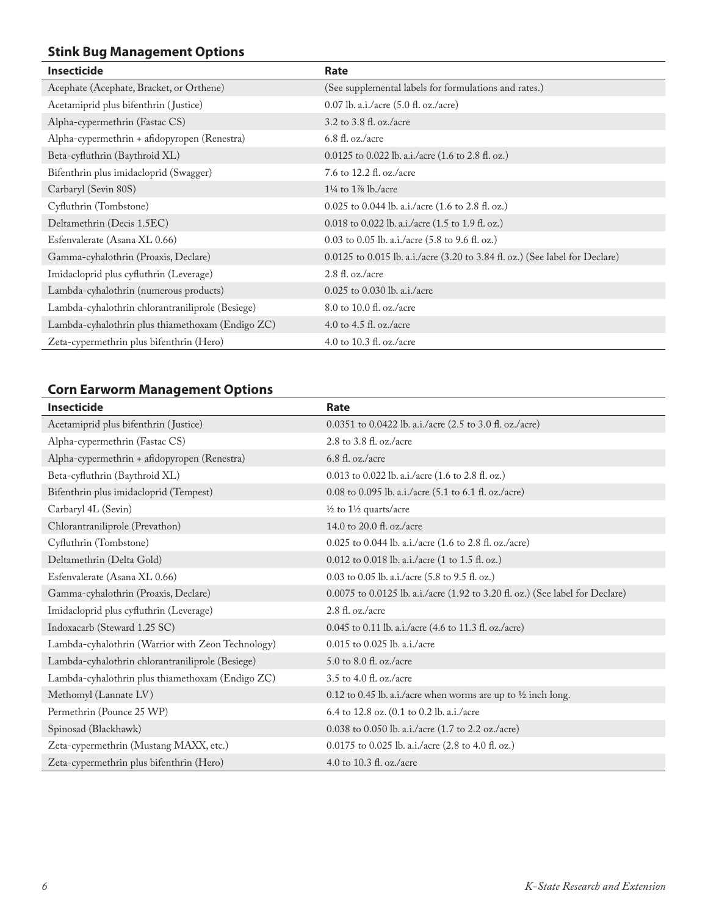### **Stink Bug Management Options**

| <b>Insecticide</b>                               | Rate                                                                         |
|--------------------------------------------------|------------------------------------------------------------------------------|
| Acephate (Acephate, Bracket, or Orthene)         | (See supplemental labels for formulations and rates.)                        |
| Acetamiprid plus bifenthrin (Justice)            | 0.07 lb. a.i./acre (5.0 fl. oz./acre)                                        |
| Alpha-cypermethrin (Fastac CS)                   | 3.2 to 3.8 fl. oz./acre                                                      |
| Alpha-cypermethrin + afidopyropen (Renestra)     | $6.8$ fl. oz./acre                                                           |
| Beta-cyfluthrin (Baythroid XL)                   | 0.0125 to 0.022 lb. a.i./acre (1.6 to 2.8 fl. oz.)                           |
| Bifenthrin plus imidacloprid (Swagger)           | 7.6 to 12.2 fl. oz./acre                                                     |
| Carbaryl (Sevin 80S)                             | $1\frac{1}{4}$ to $1\frac{1}{8}$ lb./acre                                    |
| Cyfluthrin (Tombstone)                           | 0.025 to 0.044 lb. a.i./acre (1.6 to 2.8 fl. oz.)                            |
| Deltamethrin (Decis 1.5EC)                       | 0.018 to 0.022 lb. a.i./acre (1.5 to 1.9 fl. oz.)                            |
| Esfenvalerate (Asana XL 0.66)                    | 0.03 to 0.05 lb. a.i./acre $(5.8 \text{ to } 9.6 \text{ ft. oz.})$           |
| Gamma-cyhalothrin (Proaxis, Declare)             | 0.0125 to 0.015 lb. a.i./acre (3.20 to 3.84 fl. oz.) (See label for Declare) |
| Imidacloprid plus cyfluthrin (Leverage)          | $2.8$ fl. oz./acre                                                           |
| Lambda-cyhalothrin (numerous products)           | $0.025$ to $0.030$ lb. a.i./acre                                             |
| Lambda-cyhalothrin chlorantraniliprole (Besiege) | 8.0 to 10.0 fl. oz./acre                                                     |
| Lambda-cyhalothrin plus thiamethoxam (Endigo ZC) | 4.0 to 4.5 fl. oz./acre                                                      |
| Zeta-cypermethrin plus bifenthrin (Hero)         | 4.0 to 10.3 fl. oz./acre                                                     |

#### **Corn Earworm Management Options**

| <b>Insecticide</b>                                | Rate                                                                          |
|---------------------------------------------------|-------------------------------------------------------------------------------|
| Acetamiprid plus bifenthrin (Justice)             | 0.0351 to 0.0422 lb. a.i./acre (2.5 to 3.0 fl. oz./acre)                      |
| Alpha-cypermethrin (Fastac CS)                    | 2.8 to 3.8 fl. oz./acre                                                       |
| Alpha-cypermethrin + afidopyropen (Renestra)      | $6.8$ fl. oz./acre                                                            |
| Beta-cyfluthrin (Baythroid XL)                    | 0.013 to 0.022 lb. a.i./acre (1.6 to 2.8 fl. oz.)                             |
| Bifenthrin plus imidacloprid (Tempest)            | 0.08 to 0.095 lb. a.i./acre (5.1 to 6.1 fl. oz./acre)                         |
| Carbaryl 4L (Sevin)                               | $\frac{1}{2}$ to $1\frac{1}{2}$ quarts/acre                                   |
| Chlorantraniliprole (Prevathon)                   | 14.0 to 20.0 fl. oz./acre                                                     |
| Cyfluthrin (Tombstone)                            | 0.025 to 0.044 lb. a.i./acre (1.6 to 2.8 fl. oz./acre)                        |
| Deltamethrin (Delta Gold)                         | 0.012 to 0.018 lb. a.i./acre (1 to 1.5 fl. oz.)                               |
| Esfenvalerate (Asana XL 0.66)                     | 0.03 to 0.05 lb. a.i./acre (5.8 to 9.5 fl. oz.)                               |
| Gamma-cyhalothrin (Proaxis, Declare)              | 0.0075 to 0.0125 lb. a.i./acre (1.92 to 3.20 fl. oz.) (See label for Declare) |
| Imidacloprid plus cyfluthrin (Leverage)           | $2.8$ fl. oz./acre                                                            |
| Indoxacarb (Steward 1.25 SC)                      | 0.045 to 0.11 lb. a.i./acre (4.6 to 11.3 fl. oz./acre)                        |
| Lambda-cyhalothrin (Warrior with Zeon Technology) | 0.015 to 0.025 lb. a.i./acre                                                  |
| Lambda-cyhalothrin chlorantraniliprole (Besiege)  | 5.0 to 8.0 fl. oz./acre                                                       |
| Lambda-cyhalothrin plus thiamethoxam (Endigo ZC)  | 3.5 to 4.0 fl. oz./acre                                                       |
| Methomyl (Lannate LV)                             | 0.12 to 0.45 lb. a.i./acre when worms are up to $\frac{1}{2}$ inch long.      |
| Permethrin (Pounce 25 WP)                         | 6.4 to 12.8 oz. (0.1 to 0.2 lb. a.i./acre                                     |
| Spinosad (Blackhawk)                              | 0.038 to 0.050 lb. a.i./acre (1.7 to 2.2 oz./acre)                            |
| Zeta-cypermethrin (Mustang MAXX, etc.)            | 0.0175 to 0.025 lb. a.i./acre (2.8 to 4.0 fl. oz.)                            |
| Zeta-cypermethrin plus bifenthrin (Hero)          | 4.0 to 10.3 fl. oz./acre                                                      |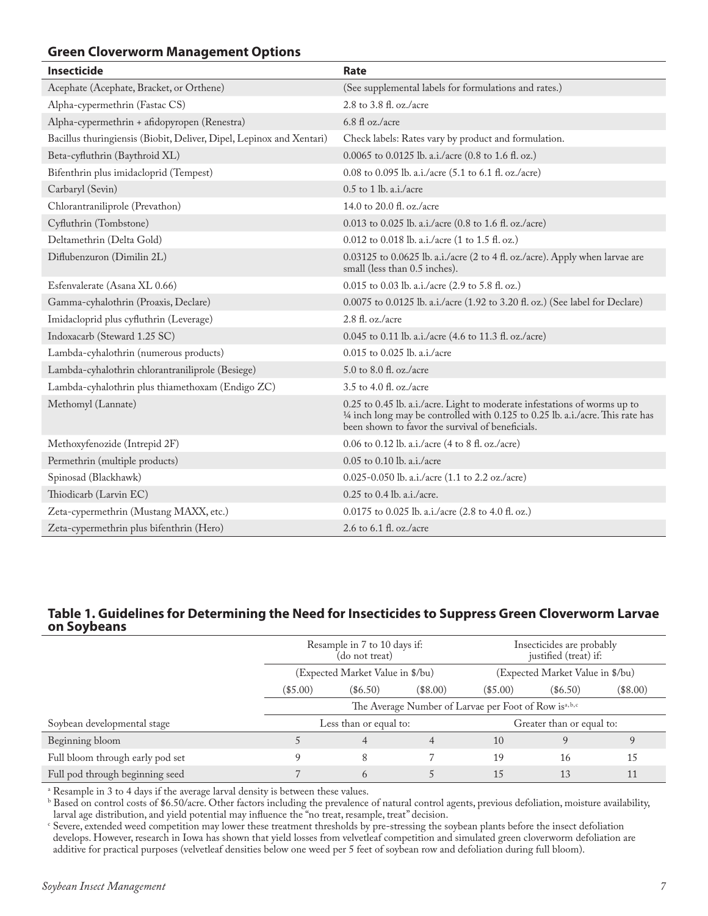#### **Green Cloverworm Management Options**

| <b>Insecticide</b>                                                   | Rate                                                                                                                                                                                                             |
|----------------------------------------------------------------------|------------------------------------------------------------------------------------------------------------------------------------------------------------------------------------------------------------------|
| Acephate (Acephate, Bracket, or Orthene)                             | (See supplemental labels for formulations and rates.)                                                                                                                                                            |
| Alpha-cypermethrin (Fastac CS)                                       | 2.8 to 3.8 fl. oz./acre                                                                                                                                                                                          |
| Alpha-cypermethrin + afidopyropen (Renestra)                         | 6.8 fl oz./acre                                                                                                                                                                                                  |
| Bacillus thuringiensis (Biobit, Deliver, Dipel, Lepinox and Xentari) | Check labels: Rates vary by product and formulation.                                                                                                                                                             |
| Beta-cyfluthrin (Baythroid XL)                                       | $0.0065$ to $0.0125$ lb. a.i./acre (0.8 to 1.6 fl. oz.)                                                                                                                                                          |
| Bifenthrin plus imidacloprid (Tempest)                               | 0.08 to 0.095 lb. a.i./acre (5.1 to 6.1 fl. oz./acre)                                                                                                                                                            |
| Carbaryl (Sevin)                                                     | $0.5$ to 1 lb. a.i./acre                                                                                                                                                                                         |
| Chlorantraniliprole (Prevathon)                                      | 14.0 to 20.0 fl. oz./acre                                                                                                                                                                                        |
| Cyfluthrin (Tombstone)                                               | 0.013 to 0.025 lb. a.i./acre (0.8 to 1.6 fl. oz./acre)                                                                                                                                                           |
| Deltamethrin (Delta Gold)                                            | 0.012 to 0.018 lb. a.i./acre (1 to 1.5 fl. oz.)                                                                                                                                                                  |
| Diflubenzuron (Dimilin 2L)                                           | 0.03125 to 0.0625 lb. a.i./acre (2 to 4 fl. oz./acre). Apply when larvae are<br>small (less than 0.5 inches).                                                                                                    |
| Esfenvalerate (Asana XL 0.66)                                        | $0.015$ to 0.03 lb. a.i./acre (2.9 to 5.8 fl. oz.)                                                                                                                                                               |
| Gamma-cyhalothrin (Proaxis, Declare)                                 | 0.0075 to 0.0125 lb. a.i./acre (1.92 to 3.20 fl. oz.) (See label for Declare)                                                                                                                                    |
| Imidacloprid plus cyfluthrin (Leverage)                              | 2.8 fl. oz./acre                                                                                                                                                                                                 |
| Indoxacarb (Steward 1.25 SC)                                         | 0.045 to 0.11 lb. a.i./acre (4.6 to 11.3 fl. oz./acre)                                                                                                                                                           |
| Lambda-cyhalothrin (numerous products)                               | $0.015$ to $0.025$ lb. a.i./acre                                                                                                                                                                                 |
| Lambda-cyhalothrin chlorantraniliprole (Besiege)                     | 5.0 to 8.0 fl. oz./acre                                                                                                                                                                                          |
| Lambda-cyhalothrin plus thiamethoxam (Endigo ZC)                     | $3.5$ to $4.0$ fl. oz./acre                                                                                                                                                                                      |
| Methomyl (Lannate)                                                   | 0.25 to 0.45 lb. a.i./acre. Light to moderate infestations of worms up to<br>1/4 inch long may be controlled with 0.125 to 0.25 lb. a.i./acre. This rate has<br>been shown to favor the survival of beneficials. |
| Methoxyfenozide (Intrepid 2F)                                        | 0.06 to 0.12 lb. a.i./acre (4 to 8 fl. oz./acre)                                                                                                                                                                 |
| Permethrin (multiple products)                                       | 0.05 to 0.10 lb. a.i./acre                                                                                                                                                                                       |
| Spinosad (Blackhawk)                                                 | 0.025-0.050 lb. a.i./acre (1.1 to 2.2 oz./acre)                                                                                                                                                                  |
| Thiodicarb (Larvin EC)                                               | $0.25$ to $0.4$ lb. a.i./acre.                                                                                                                                                                                   |
| Zeta-cypermethrin (Mustang MAXX, etc.)                               | 0.0175 to 0.025 lb. a.i./acre (2.8 to 4.0 fl. oz.)                                                                                                                                                               |
| Zeta-cypermethrin plus bifenthrin (Hero)                             | 2.6 to 6.1 fl. oz./acre                                                                                                                                                                                          |

#### **Table 1. Guidelines for Determining the Need for Insecticides to Suppress Green Cloverworm Larvae on Soybeans**

|                                  | Resample in 7 to 10 days if:<br>(do not treat)                     |            |                                  | Insecticides are probably<br>justified (treat) if: |            |            |
|----------------------------------|--------------------------------------------------------------------|------------|----------------------------------|----------------------------------------------------|------------|------------|
|                                  | (Expected Market Value in \$/bu)                                   |            | (Expected Market Value in \$/bu) |                                                    |            |            |
|                                  | $(\$5.00)$                                                         | $(\$6.50)$ | $(\$8.00)$                       | $(\$5.00)$                                         | $(\$6.50)$ | $(\$8.00)$ |
|                                  | The Average Number of Larvae per Foot of Row is <sup>a, b, c</sup> |            |                                  |                                                    |            |            |
| Soybean developmental stage      | Greater than or equal to:<br>Less than or equal to:                |            |                                  |                                                    |            |            |
| Beginning bloom                  |                                                                    | 4          | 4                                | 10                                                 |            |            |
| Full bloom through early pod set | 9                                                                  | 8          |                                  | 19                                                 | 16         | 15         |
| Full pod through beginning seed  |                                                                    | 6          |                                  | 15                                                 | 13         | 11         |

<sup>a</sup> Resample in 3 to 4 days if the average larval density is between these values.

 $^{\rm b}$  Based on control costs of \$6.50/acre. Other factors including the prevalence of natural control agents, previous defoliation, moisture availability, larval age distribution, and yield potential may influence the "no treat, resample, treat" decision.

<sup>c</sup> Severe, extended weed competition may lower these treatment thresholds by pre-stressing the soybean plants before the insect defoliation develops. However, research in Iowa has shown that yield losses from velvetleaf competition and simulated green cloverworm defoliation are additive for practical purposes (velvetleaf densities below one weed per 5 feet of soybean row and defoliation during full bloom).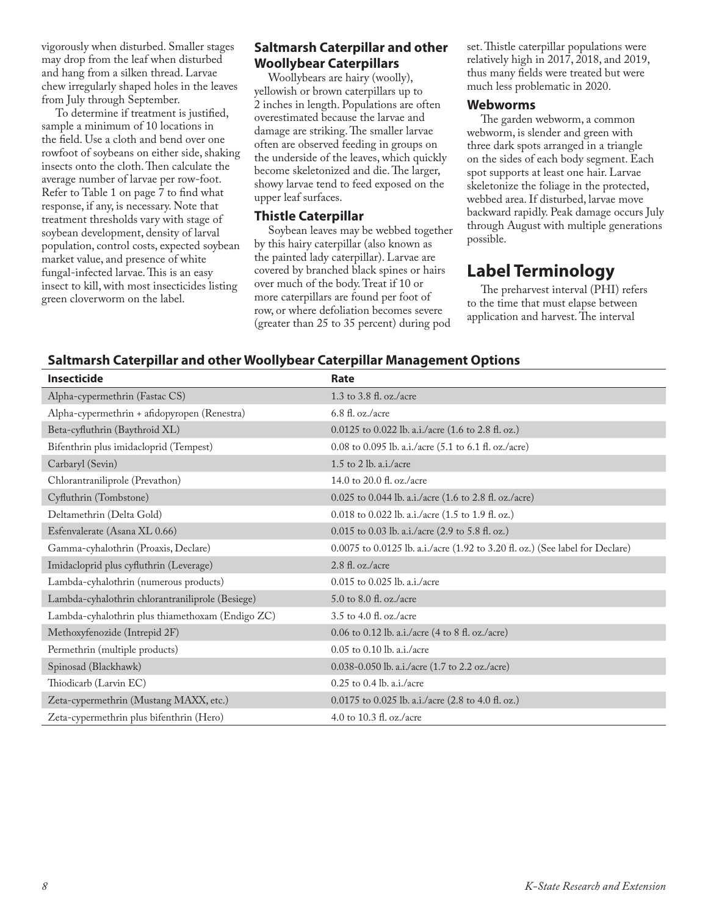vigorously when disturbed. Smaller stages may drop from the leaf when disturbed and hang from a silken thread. Larvae chew irregularly shaped holes in the leaves from July through September.

To determine if treatment is justified, sample a minimum of 10 locations in the field. Use a cloth and bend over one rowfoot of soybeans on either side, shaking insects onto the cloth. Then calculate the average number of larvae per row-foot. Refer to Table 1 on page 7 to find what response, if any, is necessary. Note that treatment thresholds vary with stage of soybean development, density of larval population, control costs, expected soybean market value, and presence of white fungal-infected larvae. This is an easy insect to kill, with most insecticides listing green cloverworm on the label.

#### **Saltmarsh Caterpillar and other Woollybear Caterpillars**

Woollybears are hairy (woolly), yellowish or brown caterpillars up to 2 inches in length. Populations are often overestimated because the larvae and damage are striking. The smaller larvae often are observed feeding in groups on the underside of the leaves, which quickly become skeletonized and die. The larger, showy larvae tend to feed exposed on the upper leaf surfaces.

#### **Thistle Caterpillar**

Soybean leaves may be webbed together by this hairy caterpillar (also known as the painted lady caterpillar). Larvae are covered by branched black spines or hairs over much of the body. Treat if 10 or more caterpillars are found per foot of row, or where defoliation becomes severe (greater than 25 to 35 percent) during pod

set. Thistle caterpillar populations were relatively high in 2017, 2018, and 2019, thus many fields were treated but were much less problematic in 2020.

#### **Webworms**

The garden webworm, a common webworm, is slender and green with three dark spots arranged in a triangle on the sides of each body segment. Each spot supports at least one hair. Larvae skeletonize the foliage in the protected, webbed area. If disturbed, larvae move backward rapidly. Peak damage occurs July through August with multiple generations possible.

# **Label Terminology**

The preharvest interval (PHI) refers to the time that must elapse between application and harvest. The interval

#### **Saltmarsh Caterpillar and other Woollybear Caterpillar Management Options**

| <b>Insecticide</b>                               | Rate                                                                          |
|--------------------------------------------------|-------------------------------------------------------------------------------|
| Alpha-cypermethrin (Fastac CS)                   | 1.3 to 3.8 fl. oz./acre                                                       |
| Alpha-cypermethrin + afidopyropen (Renestra)     | $6.8 \text{ fl. oz.}/\text{acre}$                                             |
| Beta-cyfluthrin (Baythroid XL)                   | $0.0125$ to 0.022 lb. a.i./acre (1.6 to 2.8 fl. oz.)                          |
| Bifenthrin plus imidacloprid (Tempest)           | 0.08 to 0.095 lb. a.i./acre (5.1 to 6.1 fl. oz./acre)                         |
| Carbaryl (Sevin)                                 | 1.5 to 2 lb. a.i./acre                                                        |
| Chlorantraniliprole (Prevathon)                  | 14.0 to 20.0 fl. oz./acre                                                     |
| Cyfluthrin (Tombstone)                           | 0.025 to 0.044 lb. a.i./acre (1.6 to 2.8 fl. oz./acre)                        |
| Deltamethrin (Delta Gold)                        | 0.018 to 0.022 lb. a.i./acre (1.5 to 1.9 fl. oz.)                             |
| Esfenvalerate (Asana XL 0.66)                    | 0.015 to 0.03 lb. a.i./acre (2.9 to 5.8 fl. oz.)                              |
| Gamma-cyhalothrin (Proaxis, Declare)             | 0.0075 to 0.0125 lb. a.i./acre (1.92 to 3.20 fl. oz.) (See label for Declare) |
| Imidacloprid plus cyfluthrin (Leverage)          | 2.8 fl. oz./acre                                                              |
| Lambda-cyhalothrin (numerous products)           | $0.015$ to $0.025$ lb. a.i./acre                                              |
| Lambda-cyhalothrin chlorantraniliprole (Besiege) | 5.0 to 8.0 fl. oz./acre                                                       |
| Lambda-cyhalothrin plus thiamethoxam (Endigo ZC) | $3.5$ to $4.0$ fl. oz./acre                                                   |
| Methoxyfenozide (Intrepid 2F)                    | 0.06 to 0.12 lb. a.i./acre (4 to 8 fl. oz./acre)                              |
| Permethrin (multiple products)                   | 0.05 to 0.10 lb. a.i./acre                                                    |
| Spinosad (Blackhawk)                             | 0.038-0.050 lb. a.i./acre (1.7 to 2.2 oz./acre)                               |
| Thiodicarb (Larvin EC)                           | $0.25$ to $0.4$ lb. a.i./acre                                                 |
| Zeta-cypermethrin (Mustang MAXX, etc.)           | 0.0175 to 0.025 lb. a.i./acre (2.8 to 4.0 fl. oz.)                            |
| Zeta-cypermethrin plus bifenthrin (Hero)         | 4.0 to 10.3 fl. oz./acre                                                      |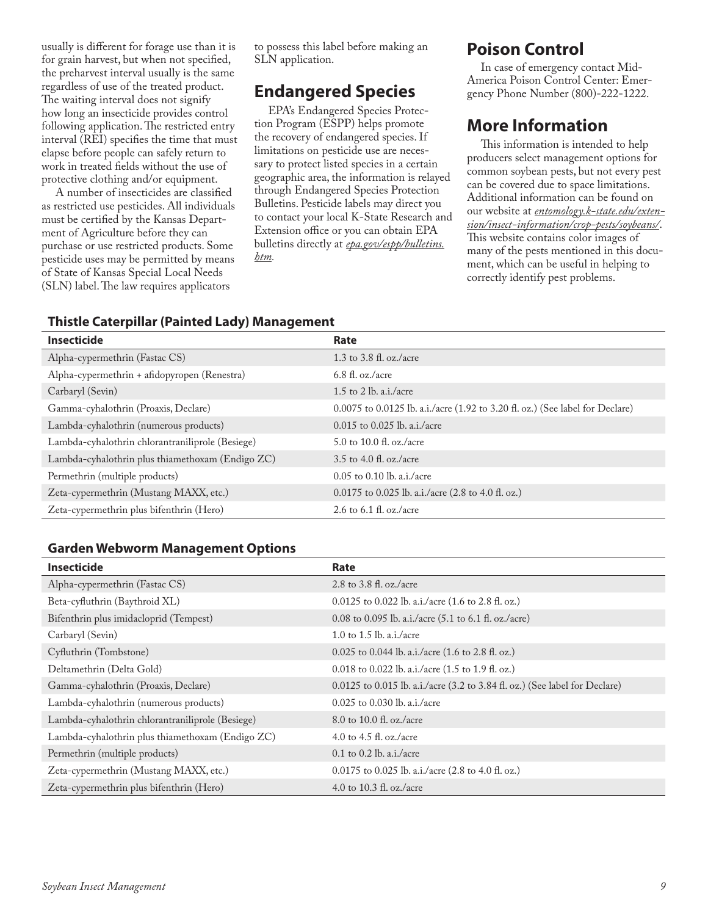usually is different for forage use than it is for grain harvest, but when not specified, the preharvest interval usually is the same regardless of use of the treated product. The waiting interval does not signify how long an insecticide provides control following application. The restricted entry interval (REI) specifies the time that must elapse before people can safely return to work in treated fields without the use of protective clothing and/or equipment.

A number of insecticides are classified as restricted use pesticides. All individuals must be certified by the Kansas Department of Agriculture before they can purchase or use restricted products. Some pesticide uses may be permitted by means of State of Kansas Special Local Needs (SLN) label. The law requires applicators

to possess this label before making an SLN application.

# **Endangered Species**

EPA's Endangered Species Protection Program (ESPP) helps promote the recovery of endangered species. If limitations on pesticide use are necessary to protect listed species in a certain geographic area, the information is relayed through Endangered Species Protection Bulletins. Pesticide labels may direct you to contact your local K-State Research and Extension office or you can obtain EPA bulletins directly at *[epa.gov/espp/bulletins.](http://www.epa.gov/espp/bulletins.htm) [htm](http://www.epa.gov/espp/bulletins.htm).*

# **Poison Control**

In case of emergency contact Mid-America Poison Control Center: Emergency Phone Number (800)-222-1222.

# **More Information**

This information is intended to help producers select management options for common soybean pests, but not every pest can be covered due to space limitations. Additional information can be found on our website at *[entomology.k-state.edu/exten](http://entomology.k-state.edu/extension/insect-information/crop-pests/soybeans/)[sion/insect-information/crop-pests/soybeans/](http://entomology.k-state.edu/extension/insect-information/crop-pests/soybeans/)*. This website contains color images of many of the pests mentioned in this document, which can be useful in helping to correctly identify pest problems.

#### **Thistle Caterpillar (Painted Lady) Management**

| <b>Insecticide</b>                               | Rate                                                                          |
|--------------------------------------------------|-------------------------------------------------------------------------------|
| Alpha-cypermethrin (Fastac CS)                   | 1.3 to 3.8 fl. oz./acre                                                       |
| Alpha-cypermethrin + afidopyropen (Renestra)     | $6.8 \text{ fl. oz.}/\text{acre}$                                             |
| Carbaryl (Sevin)                                 | 1.5 to 2 lb. a.i./acre                                                        |
| Gamma-cyhalothrin (Proaxis, Declare)             | 0.0075 to 0.0125 lb. a.i./acre (1.92 to 3.20 fl. oz.) (See label for Declare) |
| Lambda-cyhalothrin (numerous products)           | 0.015 to 0.025 lb. a.i./acre                                                  |
| Lambda-cyhalothrin chlorantraniliprole (Besiege) | 5.0 to 10.0 fl. oz./acre                                                      |
| Lambda-cyhalothrin plus thiamethoxam (Endigo ZC) | 3.5 to 4.0 fl. oz./acre                                                       |
| Permethrin (multiple products)                   | $0.05$ to 0.10 lb. a.i./acre                                                  |
| Zeta-cypermethrin (Mustang MAXX, etc.)           | $0.0175$ to 0.025 lb. a.i./acre (2.8 to 4.0 fl. oz.)                          |
| Zeta-cypermethrin plus bifenthrin (Hero)         | 2.6 to 6.1 fl. oz./acre                                                       |

#### **Garden Webworm Management Options**

| <b>Insecticide</b>                               | Rate                                                                            |
|--------------------------------------------------|---------------------------------------------------------------------------------|
| Alpha-cypermethrin (Fastac CS)                   | 2.8 to 3.8 fl. oz./acre                                                         |
| Beta-cyfluthrin (Baythroid XL)                   | 0.0125 to 0.022 lb. a.i./acre (1.6 to 2.8 fl. oz.)                              |
| Bifenthrin plus imidacloprid (Tempest)           | 0.08 to 0.095 lb. a.i./acre $(5.1 \text{ to } 6.1 \text{ fl. oz.}/\text{acre})$ |
| Carbaryl (Sevin)                                 | 1.0 to 1.5 lb. a.i./acre                                                        |
| Cyfluthrin (Tombstone)                           | 0.025 to 0.044 lb. a.i./acre (1.6 to 2.8 fl. oz.)                               |
| Deltamethrin (Delta Gold)                        | 0.018 to 0.022 lb. a.i./acre (1.5 to 1.9 fl. oz.)                               |
| Gamma-cyhalothrin (Proaxis, Declare)             | $0.0125$ to 0.015 lb. a.i./acre (3.2 to 3.84 fl. oz.) (See label for Declare)   |
| Lambda-cyhalothrin (numerous products)           | $0.025$ to $0.030$ lb. a.i./acre                                                |
| Lambda-cyhalothrin chlorantraniliprole (Besiege) | 8.0 to 10.0 fl. oz./acre                                                        |
| Lambda-cyhalothrin plus thiamethoxam (Endigo ZC) | 4.0 to 4.5 fl. oz./acre                                                         |
| Permethrin (multiple products)                   | $0.1$ to $0.2$ lb. a.i./acre                                                    |
| Zeta-cypermethrin (Mustang MAXX, etc.)           | $0.0175$ to $0.025$ lb. a.i./acre (2.8 to 4.0 fl. oz.)                          |
| Zeta-cypermethrin plus bifenthrin (Hero)         | 4.0 to 10.3 fl. oz./acre                                                        |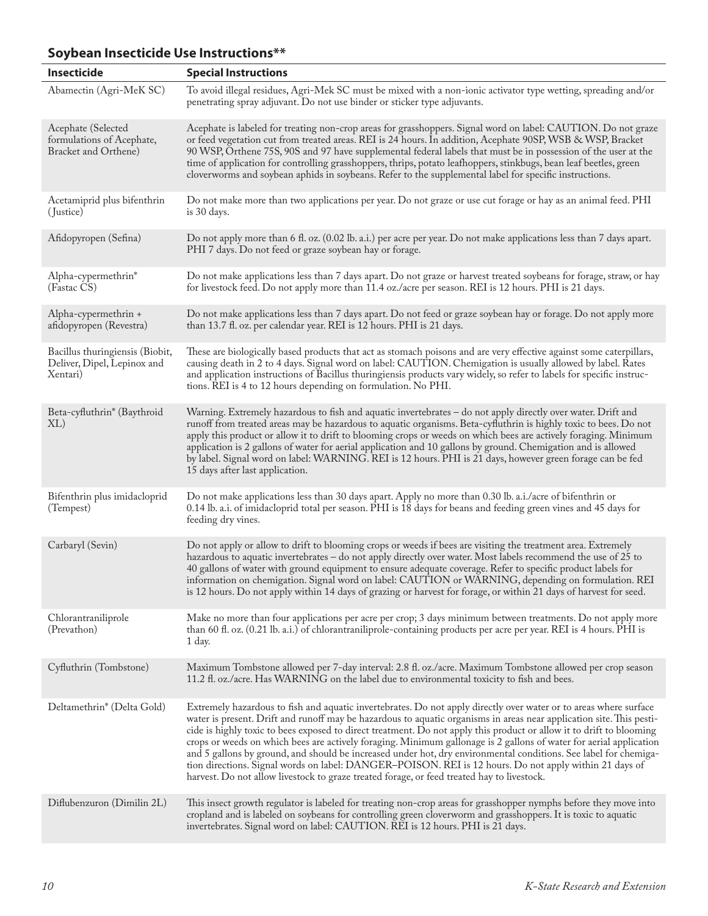#### **Insecticide Special Instructions** Abamectin (Agri-MeK SC) To avoid illegal residues, Agri-Mek SC must be mixed with a non-ionic activator type wetting, spreading and/or penetrating spray adjuvant. Do not use binder or sticker type adjuvants. Acephate (Selected formulations of Acephate, Bracket and Orthene) Acephate is labeled for treating non-crop areas for grasshoppers. Signal word on label: CAUTION. Do not graze or feed vegetation cut from treated areas. REI is 24 hours. In addition, Acephate 90SP, WSB & WSP, Bracket 90 WSP, Orthene 75S, 90S and 97 have supplemental federal labels that must be in possession of the user at the time of application for controlling grasshoppers, thrips, potato leafhoppers, stinkbugs, bean leaf beetles, green cloverworms and soybean aphids in soybeans. Refer to the supplemental label for specific instructions. Acetamiprid plus bifenthrin ( Justice) Do not make more than two applications per year. Do not graze or use cut forage or hay as an animal feed. PHI is 30 days. Afidopyropen (Sefina) Do not apply more than 6 fl. oz. (0.02 lb. a.i.) per acre per year. Do not make applications less than 7 days apart. PHI 7 days. Do not feed or graze soybean hay or forage. Alpha-cypermethrin\* (Fastac CS) Do not make applications less than 7 days apart. Do not graze or harvest treated soybeans for forage, straw, or hay for livestock feed. Do not apply more than 11.4 oz./acre per season. REI is 12 hours. PHI is 21 days. Alpha-cypermethrin + afidopyropen (Revestra) Do not make applications less than 7 days apart. Do not feed or graze soybean hay or forage. Do not apply more than 13.7 fl. oz. per calendar year. REI is 12 hours. PHI is 21 days. Bacillus thuringiensis (Biobit, Deliver, Dipel, Lepinox and Xentari) These are biologically based products that act as stomach poisons and are very effective against some caterpillars, causing death in 2 to 4 days. Signal word on label: CAUTION. Chemigation is usually allowed by label. Rates and application instructions of Bacillus thuringiensis products vary widely, so refer to labels for specific instructions. REI is 4 to 12 hours depending on formulation. No PHI. Beta-cyfluthrin\* (Baythroid XL) Warning. Extremely hazardous to fish and aquatic invertebrates – do not apply directly over water. Drift and runoff from treated areas may be hazardous to aquatic organisms. Beta-cyfluthrin is highly toxic to bees. Do not apply this product or allow it to drift to blooming crops or weeds on which bees are actively foraging. Minimum application is 2 gallons of water for aerial application and 10 gallons by ground. Chemigation and is allowed by label. Signal word on label: WARNING. REI is 12 hours. PHI is 21 days, however green forage can be fed 15 days after last application. Bifenthrin plus imidacloprid (Tempest) Do not make applications less than 30 days apart. Apply no more than 0.30 lb. a.i./acre of bifenthrin or 0.14 lb. a.i. of imidacloprid total per season. PHI is 18 days for beans and feeding green vines and 45 days for feeding dry vines. Carbaryl (Sevin) Do not apply or allow to drift to blooming crops or weeds if bees are visiting the treatment area. Extremely hazardous to aquatic invertebrates – do not apply directly over water. Most labels recommend the use of 25 to 40 gallons of water with ground equipment to ensure adequate coverage. Refer to specific product labels for information on chemigation. Signal word on label: CAUTION or WARNING, depending on formulation. REI is 12 hours. Do not apply within 14 days of grazing or harvest for forage, or within 21 days of harvest for seed. Chlorantraniliprole (Prevathon) Make no more than four applications per acre per crop; 3 days minimum between treatments. Do not apply more than 60 fl. oz. (0.21 lb. a.i.) of chlorantraniliprole-containing products per acre per year. REI is 4 hours. PHI is 1 day. Cyfluthrin (Tombstone) Maximum Tombstone allowed per 7-day interval: 2.8 fl. oz./acre. Maximum Tombstone allowed per crop season 11.2 fl. oz./acre. Has WARNING on the label due to environmental toxicity to fish and bees. Deltamethrin\* (Delta Gold) Extremely hazardous to fish and aquatic invertebrates. Do not apply directly over water or to areas where surface water is present. Drift and runoff may be hazardous to aquatic organisms in areas near application site. This pesticide is highly toxic to bees exposed to direct treatment. Do not apply this product or allow it to drift to blooming crops or weeds on which bees are actively foraging. Minimum gallonage is 2 gallons of water for aerial application and 5 gallons by ground, and should be increased under hot, dry environmental conditions. See label for chemigation directions. Signal words on label: DANGER–POISON. REI is 12 hours. Do not apply within 21 days of harvest. Do not allow livestock to graze treated forage, or feed treated hay to livestock. Diflubenzuron (Dimilin 2L) This insect growth regulator is labeled for treating non-crop areas for grasshopper nymphs before they move into cropland and is labeled on soybeans for controlling green cloverworm and grasshoppers. It is toxic to aquatic invertebrates. Signal word on label: CAUTION. REI is 12 hours. PHI is 21 days.

#### **Soybean Insecticide Use Instructions\*\***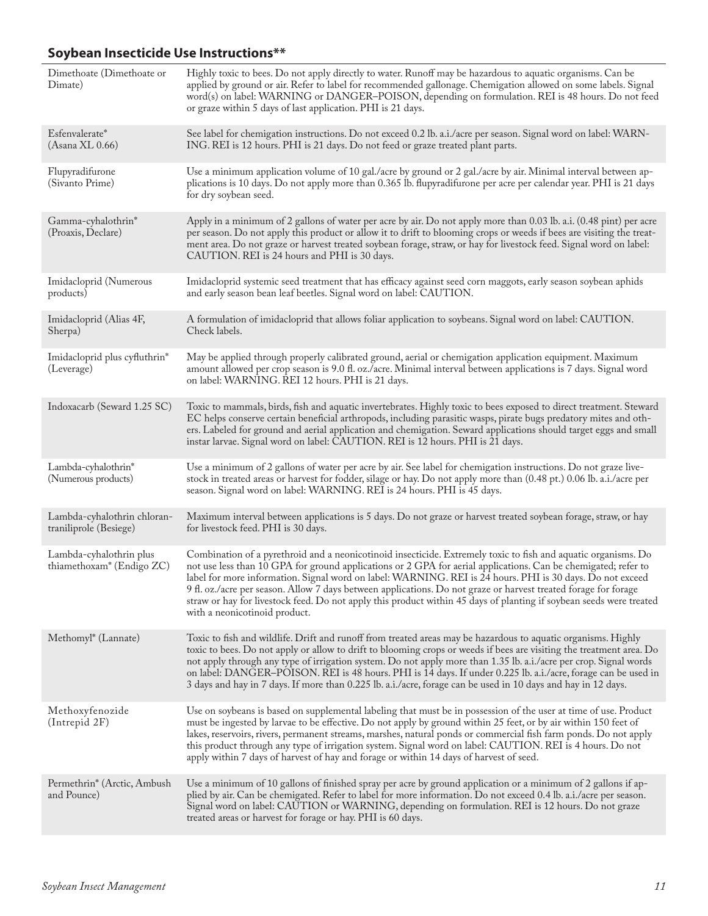# **Soybean Insecticide Use Instructions\*\***

| Dimethoate (Dimethoate or<br>Dimate)                             | Highly toxic to bees. Do not apply directly to water. Runoff may be hazardous to aquatic organisms. Can be<br>applied by ground or air. Refer to label for recommended gallonage. Chemigation allowed on some labels. Signal<br>word(s) on label: WARNING or DANGER-POISON, depending on formulation. REI is 48 hours. Do not feed<br>or graze within 5 days of last application. PHI is 21 days.                                                                                                                                                                                                                        |
|------------------------------------------------------------------|--------------------------------------------------------------------------------------------------------------------------------------------------------------------------------------------------------------------------------------------------------------------------------------------------------------------------------------------------------------------------------------------------------------------------------------------------------------------------------------------------------------------------------------------------------------------------------------------------------------------------|
| Esfenvalerate*<br>$(A$ sana XL $0.66)$                           | See label for chemigation instructions. Do not exceed 0.2 lb. a.i./acre per season. Signal word on label: WARN-<br>ING. REI is 12 hours. PHI is 21 days. Do not feed or graze treated plant parts.                                                                                                                                                                                                                                                                                                                                                                                                                       |
| Flupyradifurone<br>(Sivanto Prime)                               | Use a minimum application volume of 10 gal./acre by ground or 2 gal./acre by air. Minimal interval between ap-<br>plications is 10 days. Do not apply more than 0.365 lb. flupyradifurone per acre per calendar year. PHI is 21 days<br>for dry soybean seed.                                                                                                                                                                                                                                                                                                                                                            |
| Gamma-cyhalothrin*<br>(Proaxis, Declare)                         | Apply in a minimum of 2 gallons of water per acre by air. Do not apply more than 0.03 lb. a.i. (0.48 pint) per acre<br>per season. Do not apply this product or allow it to drift to blooming crops or weeds if bees are visiting the treat-<br>ment area. Do not graze or harvest treated soybean forage, straw, or hay for livestock feed. Signal word on label:<br>CAUTION. REI is 24 hours and PHI is 30 days.                                                                                                                                                                                                       |
| Imidacloprid (Numerous<br>products)                              | Imidacloprid systemic seed treatment that has efficacy against seed corn maggots, early season soybean aphids<br>and early season bean leaf beetles. Signal word on label: CAUTION.                                                                                                                                                                                                                                                                                                                                                                                                                                      |
| Imidacloprid (Alias 4F,<br>Sherpa)                               | A formulation of imidacloprid that allows foliar application to soybeans. Signal word on label: CAUTION.<br>Check labels.                                                                                                                                                                                                                                                                                                                                                                                                                                                                                                |
| Imidacloprid plus cyfluthrin*<br>(Leverage)                      | May be applied through properly calibrated ground, aerial or chemigation application equipment. Maximum<br>amount allowed per crop season is 9.0 fl. oz./acre. Minimal interval between applications is 7 days. Signal word<br>on label: WARNING. REI 12 hours. PHI is 21 days.                                                                                                                                                                                                                                                                                                                                          |
| Indoxacarb (Seward 1.25 SC)                                      | Toxic to mammals, birds, fish and aquatic invertebrates. Highly toxic to bees exposed to direct treatment. Steward<br>EC helps conserve certain beneficial arthropods, including parasitic wasps, pirate bugs predatory mites and oth-<br>ers. Labeled for ground and aerial application and chemigation. Seward applications should target eggs and small<br>instar larvae. Signal word on label: CAUTION. REI is 12 hours. PHI is 21 days.                                                                                                                                                                             |
| Lambda-cyhalothrin*<br>(Numerous products)                       | Use a minimum of 2 gallons of water per acre by air. See label for chemigation instructions. Do not graze live-<br>stock in treated areas or harvest for fodder, silage or hay. Do not apply more than (0.48 pt.) 0.06 lb. a.i./acre per<br>season. Signal word on label: WARNING. REI is 24 hours. PHI is 45 days.                                                                                                                                                                                                                                                                                                      |
| Lambda-cyhalothrin chloran-<br>traniliprole (Besiege)            | Maximum interval between applications is 5 days. Do not graze or harvest treated soybean forage, straw, or hay<br>for livestock feed. PHI is 30 days.                                                                                                                                                                                                                                                                                                                                                                                                                                                                    |
| Lambda-cyhalothrin plus<br>thiamethoxam <sup>*</sup> (Endigo ZC) | Combination of a pyrethroid and a neonicotinoid insecticide. Extremely toxic to fish and aquatic organisms. Do<br>not use less than 10 GPA for ground applications or 2 GPA for aerial applications. Can be chemigated; refer to<br>label for more information. Signal word on label: WARNING. REI is 24 hours. PHI is 30 days. Do not exceed<br>9 fl. oz./acre per season. Allow 7 days between applications. Do not graze or harvest treated forage for forage<br>straw or hay for livestock feed. Do not apply this product within 45 days of planting if soybean seeds were treated<br>with a neonicotinoid product. |
| Methomyl <sup>*</sup> (Lannate)                                  | Toxic to fish and wildlife. Drift and runoff from treated areas may be hazardous to aquatic organisms. Highly<br>toxic to bees. Do not apply or allow to drift to blooming crops or weeds if bees are visiting the treatment area. Do<br>not apply through any type of irrigation system. Do not apply more than 1.35 lb. a.i./acre per crop. Signal words<br>on label: DANGER–POISON. REI is 48 hours. PHI is 14 days. If under 0.225 lb. a.i./acre, forage can be used in<br>3 days and hay in 7 days. If more than 0.225 lb. a.i./acre, forage can be used in 10 days and hay in 12 days.                             |
| Methoxyfenozide<br>(Intrepid 2F)                                 | Use on soybeans is based on supplemental labeling that must be in possession of the user at time of use. Product<br>must be ingested by larvae to be effective. Do not apply by ground within 25 feet, or by air within 150 feet of<br>lakes, reservoirs, rivers, permanent streams, marshes, natural ponds or commercial fish farm ponds. Do not apply<br>this product through any type of irrigation system. Signal word on label: CAUTION. REI is 4 hours. Do not<br>apply within 7 days of harvest of hay and forage or within 14 days of harvest of seed.                                                           |
| Permethrin <sup>*</sup> (Arctic, Ambush<br>and Pounce)           | Use a minimum of 10 gallons of finished spray per acre by ground application or a minimum of 2 gallons if ap-<br>plied by air. Can be chemigated. Refer to label for more information. Do not exceed 0.4 lb. a.i./acre per season.<br>Signal word on label: CAUTION or WARNING, depending on formulation. REI is 12 hours. Do not graze<br>treated areas or harvest for forage or hay. PHI is 60 days.                                                                                                                                                                                                                   |